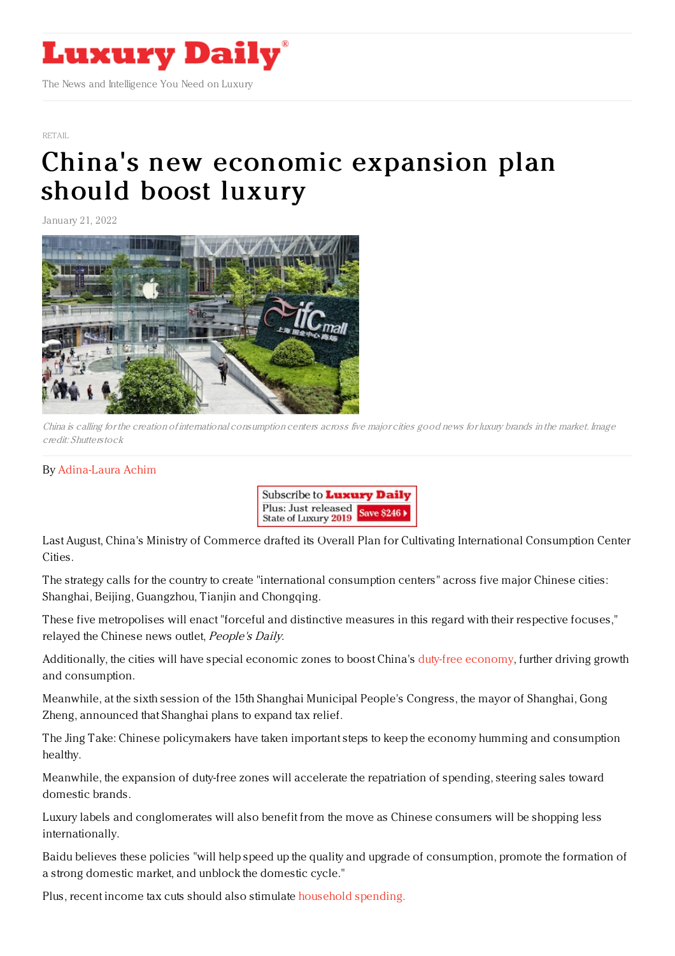

[RETAIL](https://www.luxurydaily.com/category/sectors/retail-industry-sectors/)

## China's new economic [expansion](https://www.luxurydaily.com/chinas-new-economic-expansion-plan-should-boost-luxury/) plan should boost luxury

January 21, 2022



China is calling for the creation of international consumption centers across five major cities good news for luxury brands in the market. Image credit: Shutterstock

## By [Adina-Laura](https://jingdaily.com/author/adina-laura/) Achim



Last August, China's Ministry of Commerce drafted its Overall Plan for Cultivating International Consumption Center Cities.

The strategy calls for the country to create "international consumption centers" across five major Chinese cities: Shanghai, Beijing, Guangzhou, Tianjin and Chongqing.

These five metropolises will enact "forceful and distinctive measures in this regard with their respective focuses," relayed the Chinese news outlet, People's Daily.

Additionally, the cities will have special economic zones to boost China's duty-free [economy](https://jingdaily.com/can-hainan-islands-duty-free-policy-spark-chinas-travel-retail-market/), further driving growth and consumption.

Meanwhile, at the sixth session of the 15th Shanghai Municipal People's Congress, the mayor of Shanghai, Gong Zheng, announced that Shanghai plans to expand tax relief.

The Jing Take: Chinese policymakers have taken important steps to keep the economy humming and consumption healthy.

Meanwhile, the expansion of duty-free zones will accelerate the repatriation of spending, steering sales toward domestic brands.

Luxury labels and conglomerates will also benefit from the move as Chinese consumers will be shopping less internationally.

Baidu believes these policies "will help speed up the quality and upgrade of consumption, promote the formation of a strong domestic market, and unblock the domestic cycle."

Plus, recent income tax cuts should also stimulate [household](https://jingdaily.com/chinas-affluent-households-luxury-consumption/) spending.